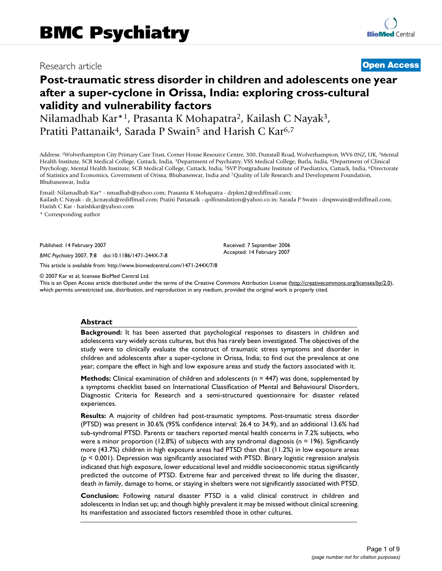# Research article **[Open Access](http://www.biomedcentral.com/info/about/charter/)**

# **Post-traumatic stress disorder in children and adolescents one year after a super-cyclone in Orissa, India: exploring cross-cultural validity and vulnerability factors**

Nilamadhab Kar\*1, Prasanta K Mohapatra2, Kailash C Nayak3, Pratiti Pattanaik<sup>4</sup>, Sarada P Swain<sup>5</sup> and Harish C Kar<sup>6,7</sup>

Address: 1Wolverhampton City Primary Care Trust, Corner House Resource Centre, 300, Dunstall Road, Wolverhampton, WV6 0NZ, UK, 2Mental Health Institute, SCB Medical College, Cuttack, India, 3Department of Psychiatry, VSS Medical College, Burla, India, 4Department of Clinical Psychology, Mental Health Institute, SCB Medical College, Cuttack, India, 5SVP Postgraduate Institute of Paediatrics, Cuttack, India, 6Directorate of Statistics and Economics, Government of Orissa; Bhubaneswar, India and 7Quality of Life Research and Development Foundation, Bhubaneswar, India

Email: Nilamadhab Kar\* - nmadhab@yahoo.com; Prasanta K Mohapatra - drpkm2@rediffmail.com; Kailash C Nayak - dr\_kcnayak@rediffmail.com; Pratiti Pattanaik - qolfoundation@yahoo.co.in; Sarada P Swain - drspswain@rediffmail.com; Harish C Kar - harishkar@yahoo.com

\* Corresponding author

Published: 14 February 2007

*BMC Psychiatry* 2007, **7**:8 doi:10.1186/1471-244X-7-8

[This article is available from: http://www.biomedcentral.com/1471-244X/7/8](http://www.biomedcentral.com/1471-244X/7/8)

© 2007 Kar et al; licensee BioMed Central Ltd.

This is an Open Access article distributed under the terms of the Creative Commons Attribution License [\(http://creativecommons.org/licenses/by/2.0\)](http://creativecommons.org/licenses/by/2.0), which permits unrestricted use, distribution, and reproduction in any medium, provided the original work is properly cited.

Received: 7 September 2006 Accepted: 14 February 2007

#### **Abstract**

**Background:** It has been asserted that psychological responses to disasters in children and adolescents vary widely across cultures, but this has rarely been investigated. The objectives of the study were to clinically evaluate the construct of traumatic stress symptoms and disorder in children and adolescents after a super-cyclone in Orissa, India; to find out the prevalence at one year; compare the effect in high and low exposure areas and study the factors associated with it.

**Methods:** Clinical examination of children and adolescents (n = 447) was done, supplemented by a symptoms checklist based on International Classification of Mental and Behavioural Disorders, Diagnostic Criteria for Research and a semi-structured questionnaire for disaster related experiences.

**Results:** A majority of children had post-traumatic symptoms. Post-traumatic stress disorder (PTSD) was present in 30.6% (95% confidence interval: 26.4 to 34.9), and an additional 13.6% had sub-syndromal PTSD. Parents or teachers reported mental health concerns in 7.2% subjects, who were a minor proportion (12.8%) of subjects with any syndromal diagnosis ( $n = 196$ ). Significantly more (43.7%) children in high exposure areas had PTSD than that (11.2%) in low exposure areas (p < 0.001). Depression was significantly associated with PTSD. Binary logistic regression analysis indicated that high exposure, lower educational level and middle socioeconomic status significantly predicted the outcome of PTSD. Extreme fear and perceived threat to life during the disaster, death in family, damage to home, or staying in shelters were not significantly associated with PTSD.

**Conclusion:** Following natural disaster PTSD is a valid clinical construct in children and adolescents in Indian set up; and though highly prevalent it may be missed without clinical screening. Its manifestation and associated factors resembled those in other cultures.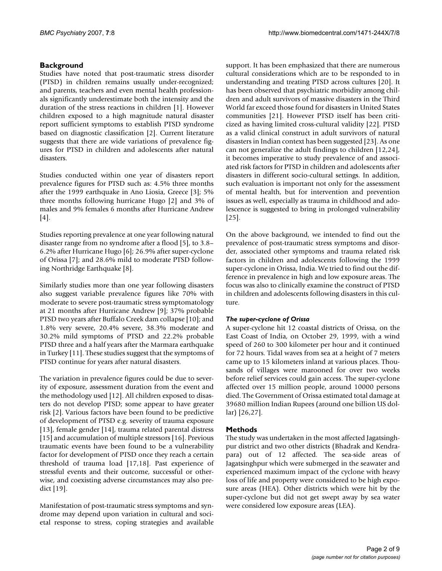# **Background**

Studies have noted that post-traumatic stress disorder (PTSD) in children remains usually under-recognized; and parents, teachers and even mental health professionals significantly underestimate both the intensity and the duration of the stress reactions in children [1]. However children exposed to a high magnitude natural disaster report sufficient symptoms to establish PTSD syndrome based on diagnostic classification [2]. Current literature suggests that there are wide variations of prevalence figures for PTSD in children and adolescents after natural disasters.

Studies conducted within one year of disasters report prevalence figures for PTSD such as: 4.5% three months after the 1999 earthquake in Ano Liosia, Greece [3]; 5% three months following hurricane Hugo [2] and 3% of males and 9% females 6 months after Hurricane Andrew [4].

Studies reporting prevalence at one year following natural disaster range from no syndrome after a flood [5], to 3.8– 6.2% after Hurricane Hugo [6]; 26.9% after super-cyclone of Orissa [7]; and 28.6% mild to moderate PTSD following Northridge Earthquake [8].

Similarly studies more than one year following disasters also suggest variable prevalence figures like 70% with moderate to severe post-traumatic stress symptomatology at 21 months after Hurricane Andrew [9]; 37% probable PTSD two years after Buffalo Creek dam collapse [10]; and 1.8% very severe, 20.4% severe, 38.3% moderate and 30.2% mild symptoms of PTSD and 22.2% probable PTSD three and a half years after the Marmara earthquake in Turkey [11]. These studies suggest that the symptoms of PTSD continue for years after natural disasters.

The variation in prevalence figures could be due to severity of exposure, assessment duration from the event and the methodology used [12]. All children exposed to disasters do not develop PTSD; some appear to have greater risk [2]. Various factors have been found to be predictive of development of PTSD e.g. severity of trauma exposure [13], female gender [14], trauma related parental distress [15] and accumulation of multiple stressors [16]. Previous traumatic events have been found to be a vulnerability factor for development of PTSD once they reach a certain threshold of trauma load [17,18]. Past experience of stressful events and their outcome, successful or otherwise, and coexisting adverse circumstances may also predict [19].

Manifestation of post-traumatic stress symptoms and syndrome may depend upon variation in cultural and societal response to stress, coping strategies and available support. It has been emphasized that there are numerous cultural considerations which are to be responded to in understanding and treating PTSD across cultures [20]. It has been observed that psychiatric morbidity among children and adult survivors of massive disasters in the Third World far exceed those found for disasters in United States communities [21]. However PTSD itself has been criticized as having limited cross-cultural validity [22]. PTSD as a valid clinical construct in adult survivors of natural disasters in Indian context has been suggested [23]. As one can not generalize the adult findings to children [12,24], it becomes imperative to study prevalence of and associated risk factors for PTSD in children and adolescents after disasters in different socio-cultural settings. In addition, such evaluation is important not only for the assessment of mental health, but for intervention and prevention issues as well, especially as trauma in childhood and adolescence is suggested to bring in prolonged vulnerability [25].

On the above background, we intended to find out the prevalence of post-traumatic stress symptoms and disorder, associated other symptoms and trauma related risk factors in children and adolescents following the 1999 super-cyclone in Orissa, India. We tried to find out the difference in prevalence in high and low exposure areas. The focus was also to clinically examine the construct of PTSD in children and adolescents following disasters in this culture.

## *The super-cyclone of Orissa*

A super-cyclone hit 12 coastal districts of Orissa, on the East Coast of India, on October 29, 1999, with a wind speed of 260 to 300 kilometer per hour and it continued for 72 hours. Tidal waves from sea at a height of 7 meters came up to 15 kilometers inland at various places. Thousands of villages were marooned for over two weeks before relief services could gain access. The super-cyclone affected over 15 million people, around 10000 persons died. The Government of Orissa estimated total damage at 39680 million Indian Rupees (around one billion US dollar) [26,27].

# **Methods**

The study was undertaken in the most affected Jagatsinghpur district and two other districts (Bhadrak and Kendrapara) out of 12 affected. The sea-side areas of Jagatsinghpur which were submerged in the seawater and experienced maximum impact of the cyclone with heavy loss of life and property were considered to be high exposure areas (HEA). Other districts which were hit by the super-cyclone but did not get swept away by sea water were considered low exposure areas (LEA).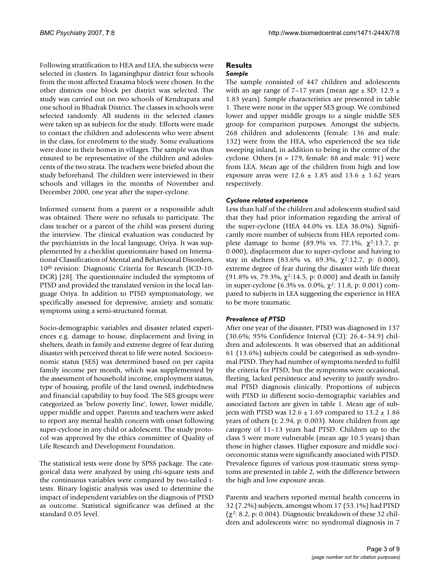Following stratification to HEA and LEA, the subjects were selected in clusters. In Jagatsinghpur district four schools from the most affected Erasama block were chosen. In the other districts one block per district was selected. The study was carried out on two schools of Kendrapara and one school in Bhadrak District. The classes in schools were selected randomly. All students in the selected classes were taken up as subjects for the study. Efforts were made to contact the children and adolescents who were absent in the class, for enrolment to the study. Some evaluations were done in their homes in villages. The sample was thus ensured to be representative of the children and adolescents of the two strata. The teachers were briefed about the study beforehand. The children were interviewed in their schools and villages in the months of November and December 2000, one year after the super-cyclone.

Informed consent from a parent or a responsible adult was obtained. There were no refusals to participate. The class teacher or a parent of the child was present during the interview. The clinical evaluation was conducted by the psychiatrists in the local language, Oriya. It was supplemented by a checklist questionnaire based on International Classification of Mental and Behavioural Disorders, 10th revision: Diagnostic Criteria for Research (ICD-10- DCR) [28]. The questionnaire included the symptoms of PTSD and provided the translated version in the local language Oriya. In addition to PTSD symptomatology, we specifically assessed for depressive, anxiety and somatic symptoms using a semi-structured format.

Socio-demographic variables and disaster related experiences e.g. damage to house, displacement and living in shelters, death in family and extreme degree of fear during disaster with perceived threat to life were noted. Socioeconomic status (SES) was determined based on per capita family income per month, which was supplemented by the assessment of household income, employment status, type of housing, profile of the land owned, indebtedness and financial capability to buy food. The SES groups were categorized as 'below poverty line', lower, lower middle, upper middle and upper. Parents and teachers were asked to report any mental health concern with onset following super-cyclone in any child or adolescent. The study protocol was approved by the ethics committee of Quality of Life Research and Development Foundation.

The statistical tests were done by SPSS package. The categorical data were analyzed by using chi-square tests and the continuous variables were compared by two-tailed ttests. Binary logistic analysis was used to determine the impact of independent variables on the diagnosis of PTSD as outcome. Statistical significance was defined at the standard 0.05 level.

# **Results**

## *Sample*

The sample consisted of 447 children and adolescents with an age range of 7–17 years (mean age  $\pm$  SD: 12.9  $\pm$ 1.83 years). Sample characteristics are presented in table 1. There were none in the upper SES group. We combined lower and upper middle groups to a single middle SES group for comparison purposes. Amongst the subjects, 268 children and adolescents (female: 136 and male: 132) were from the HEA, who experienced the sea tide sweeping inland, in addition to being in the centre of the cyclone. Others ( $n = 179$ , female: 88 and male: 91) were from LEA. Mean age of the children from high and low exposure areas were  $12.6 \pm 1.85$  and  $13.6 \pm 1.62$  years respectively.

# *Cyclone related experience*

Less than half of the children and adolescents studied said that they had prior information regarding the arrival of the super-cyclone (HEA 44.0% vs. LEA 38.0%). Significantly more number of subjects from HEA reported complete damage to home (89.9% vs. 77.1%,  $χ²:13.7$ , p: 0.000), displacement due to super-cyclone and having to stay in shelters (83.6% vs. 69.3%,  $\chi^2$ :12.7, p: 0.000), extreme degree of fear during the disaster with life threat (91.8% vs. 79.3%,  $\chi^2$ :14.5, p: 0.000) and death in family in super-cyclone (6.3% vs. 0.0%,  $\chi^2$ : 11.8, p: 0.001) compared to subjects in LEA suggesting the experience in HEA to be more traumatic.

## *Prevalence of PTSD*

After one year of the disaster, PTSD was diagnosed in 137 (30.6%; 95% Confidence Interval (CI): 26.4–34.9) children and adolescents. It was observed that an additional 61 (13.6%) subjects could be categorised as sub-syndromal PTSD. They had number of symptoms needed to fulfil the criteria for PTSD, but the symptoms were occasional, fleeting, lacked persistence and severity to justify syndromal PTSD diagnosis clinically. Proportions of subjects with PTSD in different socio-demographic variables and associated factors are given in table 1. Mean age of subjects with PTSD was  $12.6 \pm 1.69$  compared to  $13.2 \pm 1.86$ years of others (t: 2.94, p: 0.003). More children from age category of 11–13 years had PTSD. Children up to the class 5 were more vulnerable (mean age 10.5 years) than those in higher classes. Higher exposure and middle socioeconomic status were significantly associated with PTSD. Prevalence figures of various post-traumatic stress symptoms are presented in table 2, with the difference between the high and low exposure areas.

Parents and teachers reported mental health concerns in 32 (7.2%) subjects, amongst whom 17 (53.1%) had PTSD  $(\chi^2: 8.2, p: 0.004)$ . Diagnostic breakdown of these 32 children and adolescents were: no syndromal diagnosis in 7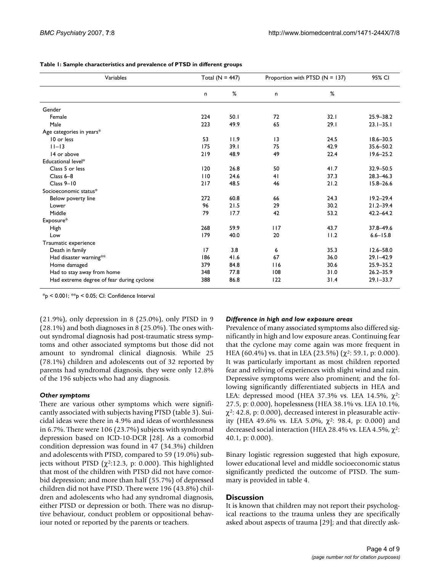|  |  |  |  |  | Table 1: Sample characteristics and prevalence of PTSD in different groups |
|--|--|--|--|--|----------------------------------------------------------------------------|
|--|--|--|--|--|----------------------------------------------------------------------------|

| Variables                                 | Total $(N = 447)$ |      | Proportion with PTSD $(N = 137)$ |      | 95% CI        |
|-------------------------------------------|-------------------|------|----------------------------------|------|---------------|
|                                           | n                 | %    | n                                | %    |               |
| Gender                                    |                   |      |                                  |      |               |
| Female                                    | 224               | 50.1 | 72                               | 32.1 | $25.9 - 38.2$ |
| Male                                      | 223               | 49.9 | 65                               | 29.1 | $23.1 - 35.1$ |
| Age categories in years*                  |                   |      |                                  |      |               |
| 10 or less                                | 53                | 11.9 | 3                                | 24.5 | $18.6 - 30.5$ |
| $11 - 13$                                 | 175               | 39.1 | 75                               | 42.9 | 35.6-50.2     |
| 14 or above                               | 219               | 48.9 | 49                               | 22.4 | $19.6 - 25.2$ |
| Educational level*                        |                   |      |                                  |      |               |
| Class 5 or less                           | 120               | 26.8 | 50                               | 41.7 | 32.9-50.5     |
| Class 6-8                                 | 110               | 24.6 | 41                               | 37.3 | $28.3 - 46.3$ |
| Class 9-10                                | 217               | 48.5 | 46                               | 21.2 | $15.8 - 26.6$ |
| Socioeconomic status*                     |                   |      |                                  |      |               |
| Below poverty line                        | 272               | 60.8 | 66                               | 24.3 | $19.2 - 29.4$ |
| Lower                                     | 96                | 21.5 | 29                               | 30.2 | $21.2 - 39.4$ |
| Middle                                    | 79                | 17.7 | 42                               | 53.2 | $42.2 - 64.2$ |
| Exposure*                                 |                   |      |                                  |      |               |
| High                                      | 268               | 59.9 | 117                              | 43.7 | 37.8-49.6     |
| Low                                       | 179               | 40.0 | 20                               | 11.2 | $6.6 - 15.8$  |
| Traumatic experience                      |                   |      |                                  |      |               |
| Death in family                           | 17                | 3.8  | 6                                | 35.3 | $12.6 - 58.0$ |
| Had disaster warning**                    | 186               | 41.6 | 67                               | 36.0 | $29.1 - 42.9$ |
| Home damaged                              | 379               | 84.8 | 116                              | 30.6 | $25.9 - 35.2$ |
| Had to stay away from home                | 348               | 77.8 | 108                              | 31.0 | $26.2 - 35.9$ |
| Had extreme degree of fear during cyclone | 388               | 86.8 | 122                              | 31.4 | $29.1 - 33.7$ |

 $*_{p}$  < 0.001;  $*_{p}$  < 0.05; CI: Confidence Interval

(21.9%), only depression in 8 (25.0%), only PTSD in 9 (28.1%) and both diagnoses in 8 (25.0%). The ones without syndromal diagnosis had post-traumatic stress symptoms and other associated symptoms but those did not amount to syndromal clinical diagnosis. While 25 (78.1%) children and adolescents out of 32 reported by parents had syndromal diagnosis, they were only 12.8% of the 196 subjects who had any diagnosis.

#### *Other symptoms*

There are various other symptoms which were significantly associated with subjects having PTSD (table 3). Suicidal ideas were there in 4.9% and ideas of worthlessness in 6.7%. There were 106 (23.7%) subjects with syndromal depression based on ICD-10-DCR [28]. As a comorbid condition depression was found in 47 (34.3%) children and adolescents with PTSD, compared to 59 (19.0%) subjects without PTSD ( $\chi^2$ :12.3, p: 0.000). This highlighted that most of the children with PTSD did not have comorbid depression; and more than half (55.7%) of depressed children did not have PTSD. There were 196 (43.8%) children and adolescents who had any syndromal diagnosis, either PTSD or depression or both. There was no disruptive behaviour, conduct problem or oppositional behaviour noted or reported by the parents or teachers.

#### *Difference in high and low exposure areas*

Prevalence of many associated symptoms also differed significantly in high and low exposure areas. Continuing fear that the cyclone may come again was more frequent in HEA (60.4%) vs. that in LEA (23.5%) ( $\chi^2$ : 59.1, p: 0.000). It was particularly important as most children reported fear and reliving of experiences with slight wind and rain. Depressive symptoms were also prominent; and the following significantly differentiated subjects in HEA and LEA: depressed mood (HEA 37.3% vs. LEA 14.5%,  $\chi^2$ : 27.5, p: 0.000), hopelessness (HEA 38.1% vs. LEA 10.1%,  $\chi^2$ : 42.8, p: 0.000), decreased interest in pleasurable activity (HEA 49.6% vs. LEA 5.0%,  $\chi^2$ : 98.4, p: 0.000) and decreased social interaction (HEA 28.4% vs. LEA 4.5%, χ<sup>2</sup>: 40.1, p: 0.000).

Binary logistic regression suggested that high exposure, lower educational level and middle socioeconomic status significantly predicted the outcome of PTSD. The summary is provided in table 4.

#### **Discussion**

It is known that children may not report their psychological reactions to the trauma unless they are specifically asked about aspects of trauma [29]; and that directly ask-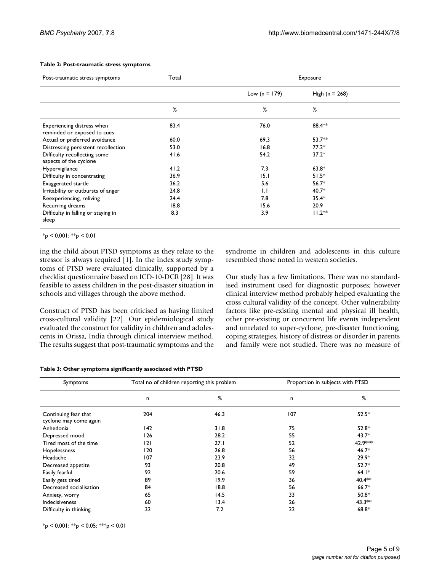#### **Table 2: Post-traumatic stress symptoms**

| Post-traumatic stress symptoms                            | Total |                  | Exposure         |  |  |  |  |
|-----------------------------------------------------------|-------|------------------|------------------|--|--|--|--|
|                                                           |       | Low (n = $179$ ) | High $(n = 268)$ |  |  |  |  |
|                                                           | %     | ℅                | %                |  |  |  |  |
| Experiencing distress when<br>reminded or exposed to cues | 83.4  | 76.0             | 88.4**           |  |  |  |  |
| Actual or preferred avoidance                             | 60.0  | 69.3             | $53.7**$         |  |  |  |  |
| Distressing persistent recollection                       | 53.0  | 16.8             | $77.2*$          |  |  |  |  |
| Difficulty recollecting some<br>aspects of the cyclone    | 41.6  | 54.2             | $37.2*$          |  |  |  |  |
| Hypervigilance                                            | 41.2  | 7.3              | $63.8*$          |  |  |  |  |
| Difficulty in concentrating                               | 36.9  | 15.1             | $51.5*$          |  |  |  |  |
| Exaggerated startle                                       | 36.2  | 5.6              | $56.7*$          |  |  |  |  |
| Irritability or outbursts of anger                        | 24.8  | 1.1              | $40.7*$          |  |  |  |  |
| Reexperiencing, reliving                                  | 24.4  | 7.8              | $35.4*$          |  |  |  |  |
| Recurring dreams                                          | 18.8  | 15.6             | 20.9             |  |  |  |  |
| Difficulty in falling or staying in<br>sleep              | 8.3   | 3.9              | $11.2**$         |  |  |  |  |

 $*_{p}$  < 0.001;  $*_{p}$  < 0.01

ing the child about PTSD symptoms as they relate to the stressor is always required [1]. In the index study symptoms of PTSD were evaluated clinically, supported by a checklist questionnaire based on ICD-10-DCR [28]. It was feasible to assess children in the post-disaster situation in schools and villages through the above method.

Construct of PTSD has been criticised as having limited cross-cultural validity [22]. Our epidemiological study evaluated the construct for validity in children and adolescents in Orissa, India through clinical interview method. The results suggest that post-traumatic symptoms and the

**Table 3: Other symptoms significantly associated with PTSD**

syndrome in children and adolescents in this culture resembled those noted in western societies.

Our study has a few limitations. There was no standardised instrument used for diagnostic purposes; however clinical interview method probably helped evaluating the cross cultural validity of the concept. Other vulnerability factors like pre-existing mental and physical ill health, other pre-existing or concurrent life events independent and unrelated to super-cyclone, pre-disaster functioning, coping strategies, history of distress or disorder in parents and family were not studied. There was no measure of

| Symptoms                |     | Total no of children reporting this problem |     | Proportion in subjects with PTSD |  |  |
|-------------------------|-----|---------------------------------------------|-----|----------------------------------|--|--|
|                         | n   | %                                           | n   | %                                |  |  |
| Continuing fear that    | 204 | 46.3                                        | 107 | $52.5*$                          |  |  |
| cyclone may come again  |     |                                             |     |                                  |  |  |
| Anhedonia               | 142 | 31.8                                        | 75  | $52.8*$                          |  |  |
| Depressed mood          | 126 | 28.2                                        | 55  | $43.7*$                          |  |  |
| Tired most of the time  | 2   | 27.1                                        | 52  | 42.9***                          |  |  |
| Hopelessness            | 120 | 26.8                                        | 56  | 46.7*                            |  |  |
| Headache                | 107 | 23.9                                        | 32  | $29.9*$                          |  |  |
| Decreased appetite      | 93  | 20.8                                        | 49  | $52.7*$                          |  |  |
| Easily fearful          | 92  | 20.6                                        | 59  | $64.1*$                          |  |  |
| Easily gets tired       | 89  | 19.9                                        | 36  | 40.4**                           |  |  |
| Decreased socialisation | 84  | 18.8                                        | 56  | $66.7*$                          |  |  |
| Anxiety, worry          | 65  | 14.5                                        | 33  | $50.8*$                          |  |  |
| <b>Indecisiveness</b>   | 60  | 13.4                                        | 26  | $43.3**$                         |  |  |
| Difficulty in thinking  | 32  | 7.2                                         | 22  | $68.8*$                          |  |  |

 $*_{p}$  < 0.001;  $*_{p}$  < 0.05;  $*_{p}$  < 0.01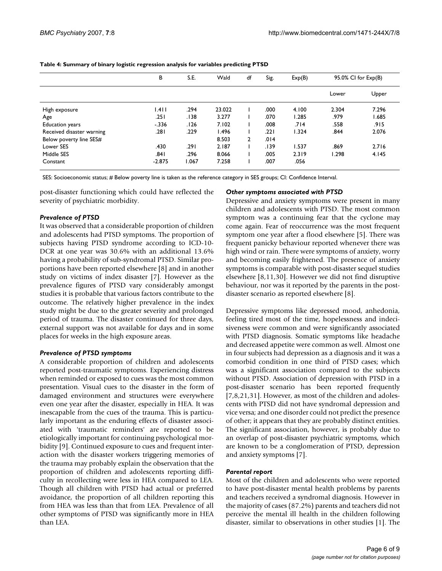|                           | В        | S.E.  | Wald   | df | Sig. | Exp(B) | 95.0% CI for Exp(B) |       |
|---------------------------|----------|-------|--------|----|------|--------|---------------------|-------|
|                           |          |       |        |    |      |        | Lower               | Upper |
| High exposure             | 1.411    | .294  | 23.022 |    | .000 | 4.100  | 2.304               | 7.296 |
| Age                       | .251     | .138  | 3.277  |    | .070 | 1.285  | .979                | 1.685 |
| <b>Education</b> years    | $-.336$  | .126  | 7.102  |    | .008 | .714   | .558                | .915  |
| Received disaster warning | .281     | .229  | 1.496  |    | .221 | 1.324  | .844                | 2.076 |
| Below poverty line SES#   |          |       | 8.503  | 2  | .014 |        |                     |       |
| Lower SES                 | .430     | .291  | 2.187  |    | .139 | 1.537  | .869                | 2.716 |
| Middle SES                | .841     | .296  | 8.066  |    | .005 | 2.319  | 1.298               | 4.145 |
| Constant                  | $-2.875$ | 1.067 | 7.258  |    | .007 | .056   |                     |       |

**Table 4: Summary of binary logistic regression analysis for variables predicting PTSD**

SES: Socioeconomic status; # Below poverty line is taken as the reference category in SES groups; CI: Confidence Interval.

post-disaster functioning which could have reflected the severity of psychiatric morbidity.

#### *Prevalence of PTSD*

It was observed that a considerable proportion of children and adolescents had PTSD symptoms. The proportion of subjects having PTSD syndrome according to ICD-10- DCR at one year was 30.6% with an additional 13.6% having a probability of sub-syndromal PTSD. Similar proportions have been reported elsewhere [8] and in another study on victims of index disaster [7]. However as the prevalence figures of PTSD vary considerably amongst studies it is probable that various factors contribute to the outcome. The relatively higher prevalence in the index study might be due to the greater severity and prolonged period of trauma. The disaster continued for three days, external support was not available for days and in some places for weeks in the high exposure areas.

#### *Prevalence of PTSD symptoms*

A considerable proportion of children and adolescents reported post-traumatic symptoms. Experiencing distress when reminded or exposed to cues was the most common presentation. Visual cues to the disaster in the form of damaged environment and structures were everywhere even one year after the disaster, especially in HEA. It was inescapable from the cues of the trauma. This is particularly important as the enduring effects of disaster associated with 'traumatic reminders' are reported to be etiologically important for continuing psychological morbidity [9]. Continued exposure to cues and frequent interaction with the disaster workers triggering memories of the trauma may probably explain the observation that the proportion of children and adolescents reporting difficulty in recollecting were less in HEA compared to LEA. Though all children with PTSD had actual or preferred avoidance, the proportion of all children reporting this from HEA was less than that from LEA. Prevalence of all other symptoms of PTSD was significantly more in HEA than LEA.

#### *Other symptoms associated with PTSD*

Depressive and anxiety symptoms were present in many children and adolescents with PTSD. The most common symptom was a continuing fear that the cyclone may come again. Fear of reoccurrence was the most frequent symptom one year after a flood elsewhere [5]. There was frequent panicky behaviour reported whenever there was high wind or rain. There were symptoms of anxiety, worry and becoming easily frightened. The presence of anxiety symptoms is comparable with post-disaster sequel studies elsewhere [8,11,30]. However we did not find disruptive behaviour, nor was it reported by the parents in the postdisaster scenario as reported elsewhere [8].

Depressive symptoms like depressed mood, anhedonia, feeling tired most of the time, hopelessness and indecisiveness were common and were significantly associated with PTSD diagnosis. Somatic symptoms like headache and decreased appetite were common as well. Almost one in four subjects had depression as a diagnosis and it was a comorbid condition in one third of PTSD cases; which was a significant association compared to the subjects without PTSD. Association of depression with PTSD in a post-disaster scenario has been reported frequently [7,8,21,31]. However, as most of the children and adolescents with PTSD did not have syndromal depression and vice versa; and one disorder could not predict the presence of other; it appears that they are probably distinct entities. The significant association, however, is probably due to an overlap of post-disaster psychiatric symptoms, which are known to be a conglomeration of PTSD, depression and anxiety symptoms [7].

## *Parental report*

Most of the children and adolescents who were reported to have post-disaster mental health problems by parents and teachers received a syndromal diagnosis. However in the majority of cases (87.2%) parents and teachers did not perceive the mental ill health in the children following disaster, similar to observations in other studies [1]. The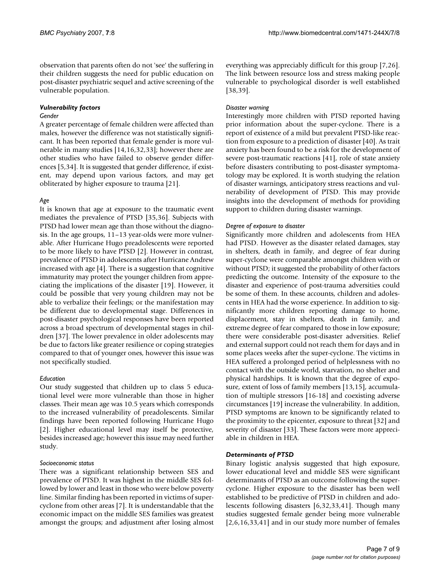observation that parents often do not 'see' the suffering in their children suggests the need for public education on post-disaster psychiatric sequel and active screening of the vulnerable population.

#### *Vulnerability factors*

#### *Gender*

A greater percentage of female children were affected than males, however the difference was not statistically significant. It has been reported that female gender is more vulnerable in many studies [14,16,32,33]; however there are other studies who have failed to observe gender differences [5,34]. It is suggested that gender difference, if existent, may depend upon various factors, and may get obliterated by higher exposure to trauma [21].

# *Age*

It is known that age at exposure to the traumatic event mediates the prevalence of PTSD [35,36]. Subjects with PTSD had lower mean age than those without the diagnosis. In the age groups, 11–13 year-olds were more vulnerable. After Hurricane Hugo preadolescents were reported to be more likely to have PTSD [2]. However in contrast, prevalence of PTSD in adolescents after Hurricane Andrew increased with age [4]. There is a suggestion that cognitive immaturity may protect the younger children from appreciating the implications of the disaster [19]. However, it could be possible that very young children may not be able to verbalize their feelings; or the manifestation may be different due to developmental stage. Differences in post-disaster psychological responses have been reported across a broad spectrum of developmental stages in children [37]. The lower prevalence in older adolescents may be due to factors like greater resilience or coping strategies compared to that of younger ones, however this issue was not specifically studied.

## *Education*

Our study suggested that children up to class 5 educational level were more vulnerable than those in higher classes. Their mean age was 10.5 years which corresponds to the increased vulnerability of preadolescents. Similar findings have been reported following Hurricane Hugo [2]. Higher educational level may itself be protective, besides increased age; however this issue may need further study.

## *Socioeconomic status*

There was a significant relationship between SES and prevalence of PTSD. It was highest in the middle SES followed by lower and least in those who were below poverty line. Similar finding has been reported in victims of supercyclone from other areas [7]. It is understandable that the economic impact on the middle SES families was greatest amongst the groups; and adjustment after losing almost everything was appreciably difficult for this group [7,26]. The link between resource loss and stress making people vulnerable to psychological disorder is well established [38,39].

# *Disaster warning*

Interestingly more children with PTSD reported having prior information about the super-cyclone. There is a report of existence of a mild but prevalent PTSD-like reaction from exposure to a prediction of disaster [40]. As trait anxiety has been found to be a risk for the development of severe post-traumatic reactions [41], role of state anxiety before disasters contributing to post-disaster symptomatology may be explored. It is worth studying the relation of disaster warnings, anticipatory stress reactions and vulnerability of development of PTSD. This may provide insights into the development of methods for providing support to children during disaster warnings.

# *Degree of exposure to disaster*

Significantly more children and adolescents from HEA had PTSD. However as the disaster related damages, stay in shelters, death in family, and degree of fear during super-cyclone were comparable amongst children with or without PTSD; it suggested the probability of other factors predicting the outcome. Intensity of the exposure to the disaster and experience of post-trauma adversities could be some of them. In these accounts, children and adolescents in HEA had the worse experience. In addition to significantly more children reporting damage to home, displacement, stay in shelters, death in family, and extreme degree of fear compared to those in low exposure; there were considerable post-disaster adversities. Relief and external support could not reach them for days and in some places weeks after the super-cyclone. The victims in HEA suffered a prolonged period of helplessness with no contact with the outside world, starvation, no shelter and physical hardships. It is known that the degree of exposure, extent of loss of family members [13,15], accumulation of multiple stressors [16-18] and coexisting adverse circumstances [19] increase the vulnerability. In addition, PTSD symptoms are known to be significantly related to the proximity to the epicenter, exposure to threat [32] and severity of disaster [33]. These factors were more appreciable in children in HEA.

## *Determinants of PTSD*

Binary logistic analysis suggested that high exposure, lower educational level and middle SES were significant determinants of PTSD as an outcome following the supercyclone. Higher exposure to the disaster has been well established to be predictive of PTSD in children and adolescents following disasters [6,32,33,41]. Though many studies suggested female gender being more vulnerable [2,6,16,33,41] and in our study more number of females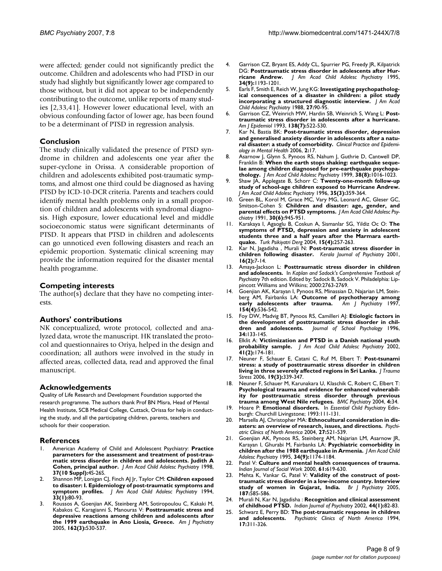were affected; gender could not significantly predict the outcome. Children and adolescents who had PTSD in our study had slightly but significantly lower age compared to those without, but it did not appear to be independently contributing to the outcome, unlike reports of many studies [2,33,41]. However lower educational level, with an obvious confounding factor of lower age, has been found to be a determinant of PTSD in regression analysis.

# **Conclusion**

The study clinically validated the presence of PTSD syndrome in children and adolescents one year after the super-cyclone in Orissa. A considerable proportion of children and adolescents exhibited post-traumatic symptoms, and almost one third could be diagnosed as having PTSD by ICD-10-DCR criteria. Parents and teachers could identify mental health problems only in a small proportion of children and adolescents with syndromal diagnosis. High exposure, lower educational level and middle socioeconomic status were significant determinants of PTSD. It appears that PTSD in children and adolescents can go unnoticed even following disasters and reach an epidemic proportion. Systematic clinical screening may provide the information required for the disaster mental health programme.

## **Competing interests**

The author(s) declare that they have no competing interests.

## **Authors' contributions**

NK conceptualized, wrote protocol, collected and analyzed data, wrote the manuscript. HK translated the protocol and questionnaires to Oriya, helped in the design and coordination; all authors were involved in the study in affected areas, collected data, read and approved the final manuscript.

## **Acknowledgements**

Quality of Life Research and Development Foundation supported the research programme. The authors thank Prof BN Misra, Head of Mental Health Institute, SCB Medical College, Cuttack, Orissa for help in conducting the study, and all the participating children, parents, teachers and schools for their cooperation.

#### **References**

- 1. American Academy of Child and Adolescent Psychiatry: **[Practice](http://www.ncbi.nlm.nih.gov/entrez/query.fcgi?cmd=Retrieve&db=PubMed&dopt=Abstract&list_uids=9785726) [parameters for the assessment and treatment of post-trau](http://www.ncbi.nlm.nih.gov/entrez/query.fcgi?cmd=Retrieve&db=PubMed&dopt=Abstract&list_uids=9785726)matic stress disorder in children and adolescents. Judith A [Cohen, principal author.](http://www.ncbi.nlm.nih.gov/entrez/query.fcgi?cmd=Retrieve&db=PubMed&dopt=Abstract&list_uids=9785726)** *J Am Acad Child Adolesc Psychiatry* 1998, **37(10 Suppl):**4S-26S.
- 2. Shannon MP, Lonigan CJ, Finch AJ Jr, Taylor CM: **[Children exposed](http://www.ncbi.nlm.nih.gov/entrez/query.fcgi?cmd=Retrieve&db=PubMed&dopt=Abstract&list_uids=8138525) [to disaster: I. Epidemiology of post-traumatic symptoms and](http://www.ncbi.nlm.nih.gov/entrez/query.fcgi?cmd=Retrieve&db=PubMed&dopt=Abstract&list_uids=8138525) [symptom profiles.](http://www.ncbi.nlm.nih.gov/entrez/query.fcgi?cmd=Retrieve&db=PubMed&dopt=Abstract&list_uids=8138525)** *J Am Acad Child Adolesc Psychiatry* 1994, **33(1):**80-93.
- 3. Roussos A, Goenjian AK, Steinberg AM, Sotiropoulou C, Kakaki M, Kabakos C, Karagianni S, Manouras V: **[Posttraumatic stress and](http://www.ncbi.nlm.nih.gov/entrez/query.fcgi?cmd=Retrieve&db=PubMed&dopt=Abstract&list_uids=15741470) [depressive reactions among children and adolescents after](http://www.ncbi.nlm.nih.gov/entrez/query.fcgi?cmd=Retrieve&db=PubMed&dopt=Abstract&list_uids=15741470) [the 1999 earthquake in Ano Liosia, Greece.](http://www.ncbi.nlm.nih.gov/entrez/query.fcgi?cmd=Retrieve&db=PubMed&dopt=Abstract&list_uids=15741470)** *Am J Psychiatry* 2005, **162(3):**530-537.
- 4. Garrison CZ, Bryant ES, Addy CL, Spurrier PG, Freedy JR, Kilpatrick DG: **Posttraumatic stress disorder in adolescents after Hur-<br>
<b>ricane Andrew.** | Am Acad Child Adolesc Psychiatry 1995, **[ricane Andrew.](http://www.ncbi.nlm.nih.gov/entrez/query.fcgi?cmd=Retrieve&db=PubMed&dopt=Abstract&list_uids=7559314)** *J Am Acad Child Adolesc Psychiatry* 1995, **34(9):**1193-1201.
- 5. Earls F, Smith E, Reich W, Jung KG: **[Investigating psychopatholog](http://www.ncbi.nlm.nih.gov/entrez/query.fcgi?cmd=Retrieve&db=PubMed&dopt=Abstract&list_uids=3343213)[ical consequences of a disaster in children: a pilot study](http://www.ncbi.nlm.nih.gov/entrez/query.fcgi?cmd=Retrieve&db=PubMed&dopt=Abstract&list_uids=3343213) [incorporating a structured diagnostic interview.](http://www.ncbi.nlm.nih.gov/entrez/query.fcgi?cmd=Retrieve&db=PubMed&dopt=Abstract&list_uids=3343213)** *J Am Acad Child Adolesc Psychiatry* 1988, **27:**90-95.
- 6. Garrison CZ, Weinrich MW, Hardin SB, Weinrich S, Wang L: **[Post](http://www.ncbi.nlm.nih.gov/entrez/query.fcgi?cmd=Retrieve&db=PubMed&dopt=Abstract&list_uids=8213756)[traumatic stress disorder in adolescents after a hurricane.](http://www.ncbi.nlm.nih.gov/entrez/query.fcgi?cmd=Retrieve&db=PubMed&dopt=Abstract&list_uids=8213756)** *Am J Epidemiol* 1993, **138(7):**522-530.
- 7. Kar N, Bastia BK: **Post-traumatic stress disorder, depression and generalised anxiety disorder in adolescents after a natural disaster: a study of comorbidity.** *Clinical Practice and Epidemiology in Mental Health* 2006, **2:**17.
- 8. Asarnow J, Glynn S, Pynoos RS, Nahum J, Guthrie D, Cantwell DP, Franklin B: **[When the earth stops shaking: earthquake seque](http://www.ncbi.nlm.nih.gov/entrez/query.fcgi?cmd=Retrieve&db=PubMed&dopt=Abstract&list_uids=10434494)[lae among children diagnosed for pre-earthquake psychopa](http://www.ncbi.nlm.nih.gov/entrez/query.fcgi?cmd=Retrieve&db=PubMed&dopt=Abstract&list_uids=10434494)[thology.](http://www.ncbi.nlm.nih.gov/entrez/query.fcgi?cmd=Retrieve&db=PubMed&dopt=Abstract&list_uids=10434494)** *J Am Acad Child Adolesc Psychiatry* 1999, **38(8):**1016-1023.
- 9. Shaw JA, Applegate B, Schorr C: **[Twenty-one-month follow-up](http://www.ncbi.nlm.nih.gov/entrez/query.fcgi?cmd=Retrieve&db=PubMed&dopt=Abstract&list_uids=8714325) [study of school-age children exposed to Hurricane Andrew.](http://www.ncbi.nlm.nih.gov/entrez/query.fcgi?cmd=Retrieve&db=PubMed&dopt=Abstract&list_uids=8714325)** *J Am Acad Child Adolesc Psychiatry* 1996, **35(3):**359-364.
- 10. Green BL, Korol M, Grace MC, Vary MG, Leonard AC, Gleser GC, Smitson-Cohen S: **[Children and disaster: age, gender, and](http://www.ncbi.nlm.nih.gov/entrez/query.fcgi?cmd=Retrieve&db=PubMed&dopt=Abstract&list_uids=1757444) [parental effects on PTSD symptoms.](http://www.ncbi.nlm.nih.gov/entrez/query.fcgi?cmd=Retrieve&db=PubMed&dopt=Abstract&list_uids=1757444)** *J Am Acad Child Adolesc Psychiatry* 1991, **30(6):**945-951.
- 11. Karakaya I, Agaoglu B, Coskun A, Sismanlar SG, Yildiz Oc O: **[The](http://www.ncbi.nlm.nih.gov/entrez/query.fcgi?cmd=Retrieve&db=PubMed&dopt=Abstract&list_uids=15622505) [symptoms of PTSD, depression and anxiety in adolescent](http://www.ncbi.nlm.nih.gov/entrez/query.fcgi?cmd=Retrieve&db=PubMed&dopt=Abstract&list_uids=15622505) students three and a half years after the Marmara earth[quake.](http://www.ncbi.nlm.nih.gov/entrez/query.fcgi?cmd=Retrieve&db=PubMed&dopt=Abstract&list_uids=15622505)** *Turk Psikiyatri Derg* 2004, **15(4):**257-263.
- Kar N, Jagadisha , Murali N: Post-traumatic stress disorder in **children following disaster.** *Kerala Journal of Psychiatry* 2001, **16(2):**7-14.
- 13. Amaya-Jackson L: **Posttraumatic stress disorder in children and adolescents.** In *Kaplan and Sadock's Comprehensive Textbook of Psychiatry* 7th edition. Edited by: Sadock B, Sadock V. Philadelphia: Lippincott Williams and Wilkins; 2000:2763-2769.
- 14. Goenjian AK, Karayan I, Pynoos RS, Minassian D, Najarian LM, Steinberg AM, Fairbanks LA: **[Outcome of psychotherapy among](http://www.ncbi.nlm.nih.gov/entrez/query.fcgi?cmd=Retrieve&db=PubMed&dopt=Abstract&list_uids=9090342)** [early adolescents after trauma.](http://www.ncbi.nlm.nih.gov/entrez/query.fcgi?cmd=Retrieve&db=PubMed&dopt=Abstract&list_uids=9090342) **154(4):**536-542.
- 15. Foy DW, Madvig BT, Pynoos RS, Camilleri AJ: **Etiologic factors in the development of posttraumatic stress disorder in children and adolescents.** *Journal of School Psychology* 1996, **34:**133-145.
- 16. Elklit A: **[Victimization and PTSD in a Danish national youth](http://www.ncbi.nlm.nih.gov/entrez/query.fcgi?cmd=Retrieve&db=PubMed&dopt=Abstract&list_uids=11837407) [probability sample.](http://www.ncbi.nlm.nih.gov/entrez/query.fcgi?cmd=Retrieve&db=PubMed&dopt=Abstract&list_uids=11837407)** *J Am Acad Child Adolesc Psychiatry* 2002, **41(2):**174-181.
- 17. Neuner F, Schauer E, Catani C, Ruf M, Elbert T: **[Post-tsunami](http://www.ncbi.nlm.nih.gov/entrez/query.fcgi?cmd=Retrieve&db=PubMed&dopt=Abstract&list_uids=16789000) [stress: a study of posttraumatic stress disorder in children](http://www.ncbi.nlm.nih.gov/entrez/query.fcgi?cmd=Retrieve&db=PubMed&dopt=Abstract&list_uids=16789000) [living in three severely affected regions in Sri Lanka.](http://www.ncbi.nlm.nih.gov/entrez/query.fcgi?cmd=Retrieve&db=PubMed&dopt=Abstract&list_uids=16789000)** *J Trauma Stress* 2006, **19(3):**339-347.
- 18. Neuner F, Schauer M, Karunakara U, Klaschik C, Robert C, Elbert T: **[Psychological trauma and evidence for enhanced vulnerabil](http://www.ncbi.nlm.nih.gov/entrez/query.fcgi?cmd=Retrieve&db=PubMed&dopt=Abstract&list_uids=15504233)ity for posttraumatic stress disorder through previous [trauma among West Nile refugees.](http://www.ncbi.nlm.nih.gov/entrez/query.fcgi?cmd=Retrieve&db=PubMed&dopt=Abstract&list_uids=15504233)** *BMC Psychiatry* 2004, **4:**34.
- 19. Hoare P: **Emotional disorders.** In *Essential Child Psychiatry* Edinburgh: Churchill Livingstone; 1993:111-131.
- 20. Marsella AJ, Christopher MA: **[Ethnocultural consideration in dis](http://www.ncbi.nlm.nih.gov/entrez/query.fcgi?cmd=Retrieve&db=PubMed&dopt=Abstract&list_uids=15325491)[asters: an overview of research, issues, and directions.](http://www.ncbi.nlm.nih.gov/entrez/query.fcgi?cmd=Retrieve&db=PubMed&dopt=Abstract&list_uids=15325491)** *Psychiatric Clinics of North America* 2004, **27:**521-539.
- 21. Goenjian AK, Pynoos RS, Steinberg AM, Najarian LM, Asarnow JR, Karayan I, Ghurabi M, Fairbanks LA: **[Psychiatric comorbidity in](http://www.ncbi.nlm.nih.gov/entrez/query.fcgi?cmd=Retrieve&db=PubMed&dopt=Abstract&list_uids=7559312) [children after the 1988 earthquake in Armenia.](http://www.ncbi.nlm.nih.gov/entrez/query.fcgi?cmd=Retrieve&db=PubMed&dopt=Abstract&list_uids=7559312)** *J Am Acad Child Adolesc Psychiatry* 1995, **34(9):**1174-1184.
- 22. Patel V: **Culture and mental health consequences of trauma.** *Indian Journal of Social Work* 2000, **61:**619-630.
- 23. Mehta K, Vankar G, Patel V: **[Validity of the construct of post](http://www.ncbi.nlm.nih.gov/entrez/query.fcgi?cmd=Retrieve&db=PubMed&dopt=Abstract&list_uids=16319414)[traumatic stress disorder in a low-income country. Interview](http://www.ncbi.nlm.nih.gov/entrez/query.fcgi?cmd=Retrieve&db=PubMed&dopt=Abstract&list_uids=16319414) [study of women in Gujarat, India.](http://www.ncbi.nlm.nih.gov/entrez/query.fcgi?cmd=Retrieve&db=PubMed&dopt=Abstract&list_uids=16319414)** *Br J Psychiatry* 2005, **187:**585-586.
- 24. Murali N, Kar N, Jagadisha : **Recognition and clinical assessment of childhood PTSD.** *Indian Journal of Psychiatry* 2002, **44(1):**82-83.
- 25. Schwarz E, Perry BD: **[The post-traumatic response in children](http://www.ncbi.nlm.nih.gov/entrez/query.fcgi?cmd=Retrieve&db=PubMed&dopt=Abstract&list_uids=7937362) [and adolescents.](http://www.ncbi.nlm.nih.gov/entrez/query.fcgi?cmd=Retrieve&db=PubMed&dopt=Abstract&list_uids=7937362)** *Psychiatric Clinics of North America* 1994, **17:**311-326.